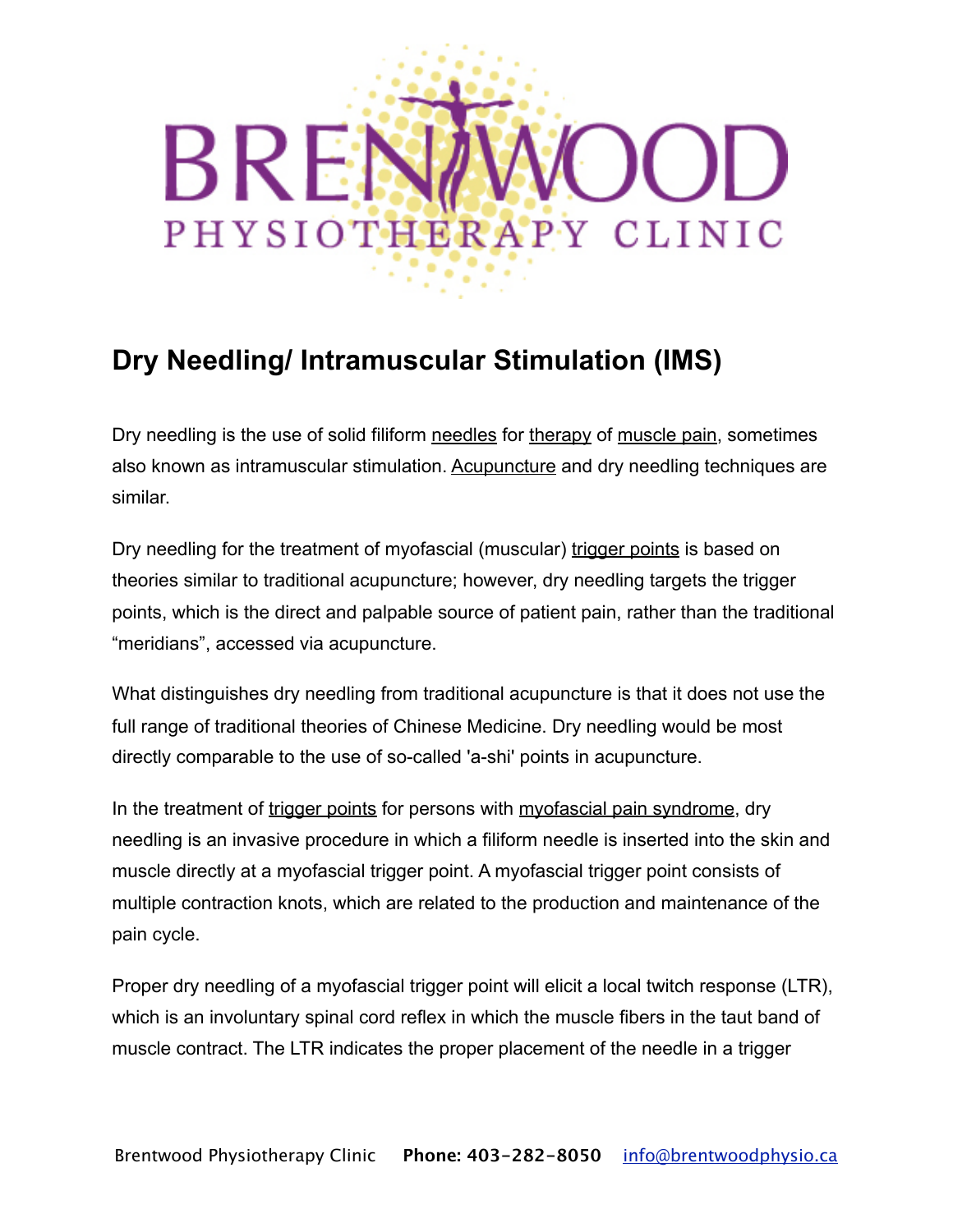## BRE PHYSIOTHERAPY CLINIC

## **Dry Needling/ Intramuscular Stimulation (IMS)**

Dry needling is the use of solid filiform [needles](http://en.wikipedia.org/wiki/Needles) for [therapy](http://en.wikipedia.org/wiki/Therapy) of [muscle pain,](http://en.wikipedia.org/wiki/Muscle_pain) sometimes also known as intramuscular stimulation. [Acupuncture](http://en.wikipedia.org/wiki/Acupuncture) and dry needling techniques are similar.

Dry needling for the treatment of myofascial (muscular) [trigger points](http://en.wikipedia.org/wiki/Trigger_point) is based on theories similar to traditional acupuncture; however, dry needling targets the trigger points, which is the direct and palpable source of patient pain, rather than the traditional "meridians", accessed via acupuncture.

What distinguishes dry needling from traditional acupuncture is that it does not use the full range of traditional theories of Chinese Medicine. Dry needling would be most directly comparable to the use of so-called 'a-shi' points in acupuncture.

In the treatment of [trigger points](http://en.wikipedia.org/wiki/Trigger_point) for persons with [myofascial pain syndrome](http://en.wikipedia.org/wiki/Myofascial_pain_syndrome), dry needling is an invasive procedure in which a filiform needle is inserted into the skin and muscle directly at a myofascial trigger point. A myofascial trigger point consists of multiple contraction knots, which are related to the production and maintenance of the pain cycle.

Proper dry needling of a myofascial trigger point will elicit a local twitch response (LTR), which is an involuntary spinal cord reflex in which the muscle fibers in the taut band of muscle contract. The LTR indicates the proper placement of the needle in a trigger